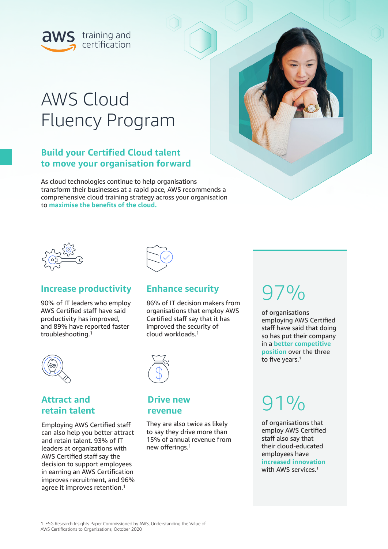

# AWS Cloud Fluency Program

## **Build your Certified Cloud talent to move your organisation forward**

As cloud technologies continue to help organisations transform their businesses at a rapid pace, AWS recommends a comprehensive cloud training strategy across your organisation to **maximise the benefits of the cloud.**





## **Increase productivity**

90% of IT leaders who employ AWS Certified staff have said productivity has improved, and 89% have reported faster troubleshooting.<sup>1</sup>



86% of IT decision makers from organisations that employ AWS Certified staff say that it has improved the security of cloud workloads.<sup>1</sup>



## **Attract and retain talent**

Employing AWS Certified staff can also help you better attract and retain talent. 93% of IT leaders at organizations with AWS Certified staff say the decision to support employees in earning an AWS Certification improves recruitment, and 96% agree it improves retention.<sup>1</sup>



### **Drive new revenue**

They are also twice as likely to say they drive more than 15% of annual revenue from new offerings.1

# 97%

of organisations employing AWS Certified staff have said that doing so has put their company in a **better competitive position** over the three to five years.<sup>1</sup>

# 91%

of organisations that employ AWS Certified staff also say that their cloud-educated employees have **increased innovation** with AWS services.<sup>1</sup>